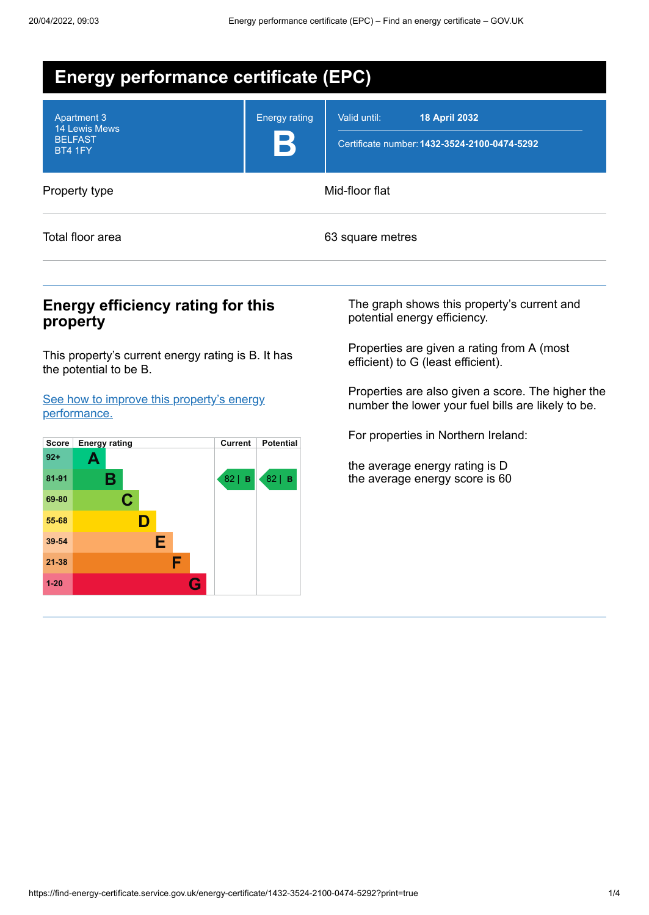| <b>Energy performance certificate (EPC)</b>                                    |                           |                                                                                      |  |  |  |
|--------------------------------------------------------------------------------|---------------------------|--------------------------------------------------------------------------------------|--|--|--|
| <b>Apartment 3</b><br><b>14 Lewis Mews</b><br><b>BELFAST</b><br><b>BT4 1FY</b> | <b>Energy rating</b><br>B | Valid until:<br><b>18 April 2032</b><br>Certificate number: 1432-3524-2100-0474-5292 |  |  |  |
| Property type                                                                  |                           | Mid-floor flat                                                                       |  |  |  |
| Total floor area                                                               |                           | 63 square metres                                                                     |  |  |  |

## **Energy efficiency rating for this property**

This property's current energy rating is B. It has the potential to be B.

See how to improve this property's energy [performance.](#page-2-0)



The graph shows this property's current and potential energy efficiency.

Properties are given a rating from A (most efficient) to G (least efficient).

Properties are also given a score. The higher the number the lower your fuel bills are likely to be.

For properties in Northern Ireland:

the average energy rating is D the average energy score is 60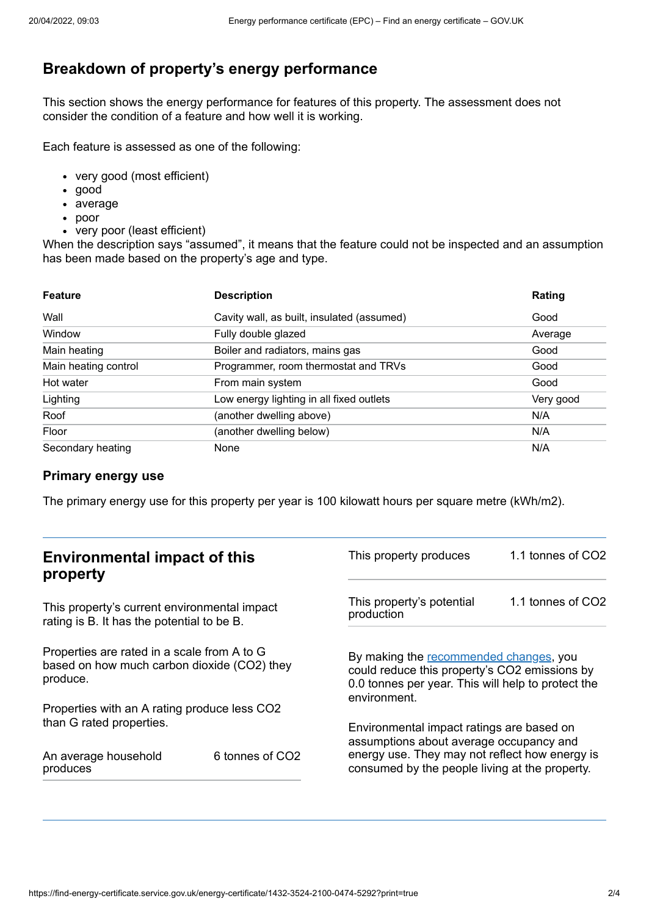# **Breakdown of property's energy performance**

This section shows the energy performance for features of this property. The assessment does not consider the condition of a feature and how well it is working.

Each feature is assessed as one of the following:

- very good (most efficient)
- good
- average
- poor
- very poor (least efficient)

When the description says "assumed", it means that the feature could not be inspected and an assumption has been made based on the property's age and type.

| <b>Feature</b>       | <b>Description</b>                         | Rating    |
|----------------------|--------------------------------------------|-----------|
| Wall                 | Cavity wall, as built, insulated (assumed) | Good      |
| Window               | Fully double glazed                        | Average   |
| Main heating         | Boiler and radiators, mains gas            | Good      |
| Main heating control | Programmer, room thermostat and TRVs       | Good      |
| Hot water            | From main system                           | Good      |
| Lighting             | Low energy lighting in all fixed outlets   | Very good |
| Roof                 | (another dwelling above)                   | N/A       |
| Floor                | (another dwelling below)                   | N/A       |
| Secondary heating    | None                                       | N/A       |

### **Primary energy use**

The primary energy use for this property per year is 100 kilowatt hours per square metre (kWh/m2).

| <b>Environmental impact of this</b><br>property                                                        |                             | This property produces                                                                                                                                        | 1.1 tonnes of CO2 |
|--------------------------------------------------------------------------------------------------------|-----------------------------|---------------------------------------------------------------------------------------------------------------------------------------------------------------|-------------------|
| This property's current environmental impact<br>rating is B. It has the potential to be B.             |                             | This property's potential<br>production                                                                                                                       | 1.1 tonnes of CO2 |
| Properties are rated in a scale from A to G<br>based on how much carbon dioxide (CO2) they<br>produce. |                             | By making the recommended changes, you<br>could reduce this property's CO2 emissions by<br>0.0 tonnes per year. This will help to protect the<br>environment. |                   |
| Properties with an A rating produce less CO2                                                           |                             |                                                                                                                                                               |                   |
| than G rated properties.                                                                               |                             | Environmental impact ratings are based on<br>assumptions about average occupancy and                                                                          |                   |
| An average household<br>produces                                                                       | 6 tonnes of CO <sub>2</sub> | energy use. They may not reflect how energy is<br>consumed by the people living at the property.                                                              |                   |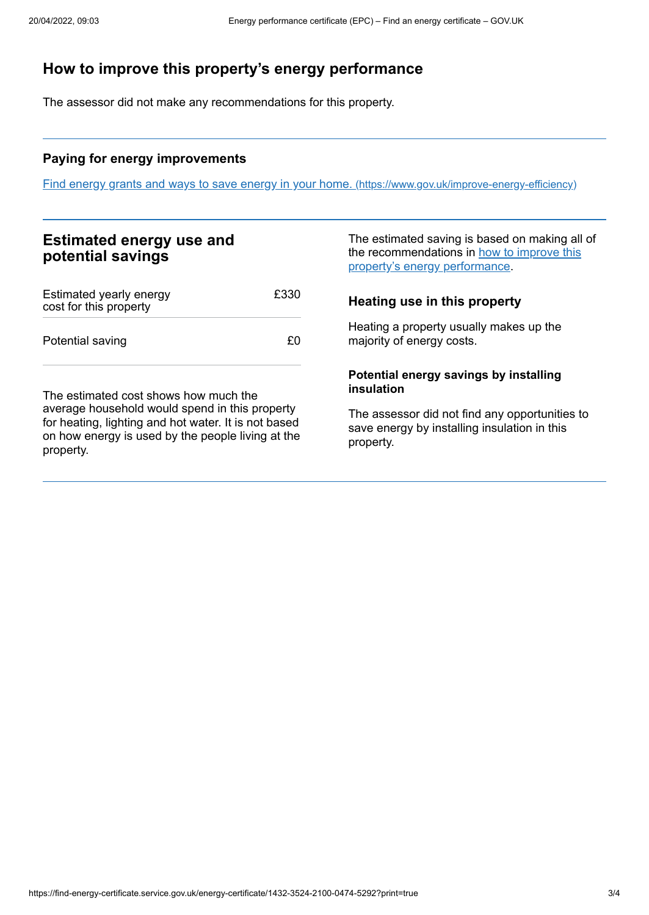# <span id="page-2-0"></span>**How to improve this property's energy performance**

The assessor did not make any recommendations for this property.

#### **Paying for energy improvements**

Find energy grants and ways to save energy in your home. [\(https://www.gov.uk/improve-energy-efficiency\)](https://www.gov.uk/improve-energy-efficiency)

## **Estimated energy use and potential savings**

| Estimated yearly energy<br>cost for this property | £330 |
|---------------------------------------------------|------|
| Potential saving                                  | £Ω   |

The estimated cost shows how much the average household would spend in this property for heating, lighting and hot water. It is not based on how energy is used by the people living at the property.

The estimated saving is based on making all of the [recommendations](#page-2-0) in how to improve this property's energy performance.

## **Heating use in this property**

Heating a property usually makes up the majority of energy costs.

#### **Potential energy savings by installing insulation**

The assessor did not find any opportunities to save energy by installing insulation in this property.